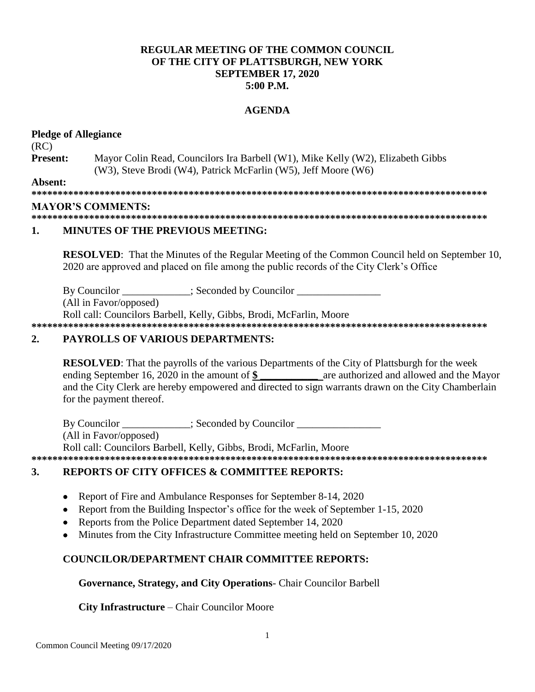## **REGULAR MEETING OF THE COMMON COUNCIL.** OF THE CITY OF PLATTSBURGH, NEW YORK **SEPTEMBER 17, 2020**  $5:00$  P.M.

## **AGENDA**

### **Pledge of Allegiance**  $(RC)$ **Present:** Mayor Colin Read, Councilors Ira Barbell (W1), Mike Kelly (W2), Elizabeth Gibbs (W3), Steve Brodi (W4), Patrick McFarlin (W5), Jeff Moore (W6) Absent: **MAYOR'S COMMENTS:**

#### 1. **MINUTES OF THE PREVIOUS MEETING:**

**RESOLVED:** That the Minutes of the Regular Meeting of the Common Council held on September 10, 2020 are approved and placed on file among the public records of the City Clerk's Office

By Councilor : Seconded by Councilor

(All in Favor/opposed)

Roll call: Councilors Barbell, Kelly, Gibbs, Brodi, McFarlin, Moore

#### $2.$ **PAYROLLS OF VARIOUS DEPARTMENTS:**

**RESOLVED:** That the payrolls of the various Departments of the City of Plattsburgh for the week ending September 16, 2020 in the amount of \$ are authorized and allowed and the Mayor and the City Clerk are hereby empowered and directed to sign warrants drawn on the City Chamberlain for the payment thereof.

By Councilor \_\_\_\_\_\_\_\_\_\_\_; Seconded by Councilor \_\_\_\_\_\_\_\_\_\_\_\_\_ (All in Favor/opposed) Roll call: Councilors Barbell, Kelly, Gibbs, Brodi, McFarlin, Moore 

### **REPORTS OF CITY OFFICES & COMMITTEE REPORTS:**  $3.$

- Report of Fire and Ambulance Responses for September 8-14, 2020  $\bullet$
- Report from the Building Inspector's office for the week of September 1-15, 2020
- Reports from the Police Department dated September 14, 2020
- Minutes from the City Infrastructure Committee meeting held on September 10, 2020  $\bullet$

## **COUNCILOR/DEPARTMENT CHAIR COMMITTEE REPORTS:**

## Governance, Strategy, and City Operations - Chair Councilor Barbell

### **City Infrastructure – Chair Councilor Moore**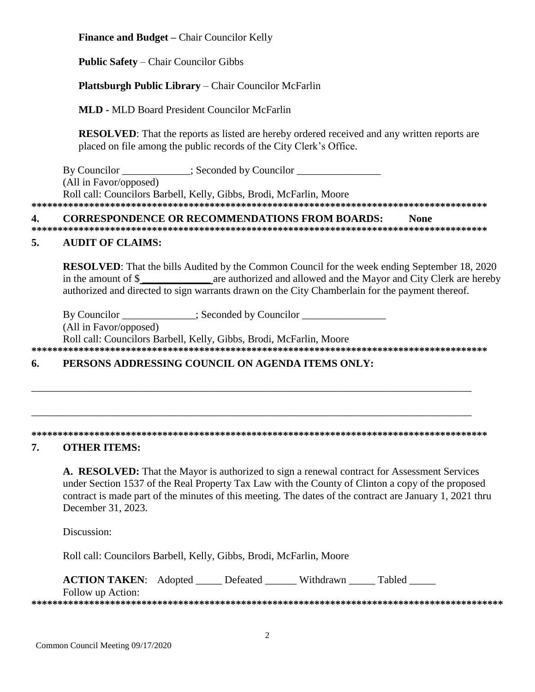**Finance and Budget –** Chair Councilor Kelly

**Public Safety** – Chair Councilor Gibbs

## **Plattsburgh Public Library** – Chair Councilor McFarlin

**MLD -** MLD Board President Councilor McFarlin

**RESOLVED**: That the reports as listed are hereby ordered received and any written reports are placed on file among the public records of the City Clerk's Office.

By Councilor \_\_\_\_\_\_\_\_\_\_; Seconded by Councilor \_\_\_\_\_\_\_\_\_\_\_\_\_\_\_\_\_\_\_\_\_\_\_\_\_\_\_\_\_\_\_\_\_ (All in Favor/opposed) Roll call: Councilors Barbell, Kelly, Gibbs, Brodi, McFarlin, Moore **\*\*\*\*\*\*\*\*\*\*\*\*\*\*\*\*\*\*\*\*\*\*\*\*\*\*\*\*\*\*\*\*\*\*\*\*\*\*\*\*\*\*\*\*\*\*\*\*\*\*\*\*\*\*\*\*\*\*\*\*\*\*\*\*\*\*\*\*\*\*\*\*\*\*\*\*\*\*\*\*\*\*\*\*\*\*\***

## **4. CORRESPONDENCE OR RECOMMENDATIONS FROM BOARDS: None**

**\*\*\*\*\*\*\*\*\*\*\*\*\*\*\*\*\*\*\*\*\*\*\*\*\*\*\*\*\*\*\*\*\*\*\*\*\*\*\*\*\*\*\*\*\*\*\*\*\*\*\*\*\*\*\*\*\*\*\*\*\*\*\*\*\*\*\*\*\*\*\*\*\*\*\*\*\*\*\*\*\*\*\*\*\*\*\***

## **5. AUDIT OF CLAIMS:**

**RESOLVED**: That the bills Audited by the Common Council for the week ending September 18, 2020 in the amount of \$ **\_\_\_\_\_\_\_\_\_\_\_\_\_** are authorized and allowed and the Mayor and City Clerk are hereby authorized and directed to sign warrants drawn on the City Chamberlain for the payment thereof.

By Councilor  $\qquad \qquad :$  Seconded by Councilor

(All in Favor/opposed)

Roll call: Councilors Barbell, Kelly, Gibbs, Brodi, McFarlin, Moore

**\*\*\*\*\*\*\*\*\*\*\*\*\*\*\*\*\*\*\*\*\*\*\*\*\*\*\*\*\*\*\*\*\*\*\*\*\*\*\*\*\*\*\*\*\*\*\*\*\*\*\*\*\*\*\*\*\*\*\*\*\*\*\*\*\*\*\*\*\*\*\*\*\*\*\*\*\*\*\*\*\*\*\*\*\*\*\***

\_\_\_\_\_\_\_\_\_\_\_\_\_\_\_\_\_\_\_\_\_\_\_\_\_\_\_\_\_\_\_\_\_\_\_\_\_\_\_\_\_\_\_\_\_\_\_\_\_\_\_\_\_\_\_\_\_\_\_\_\_\_\_\_\_\_\_\_\_\_\_\_\_\_\_\_\_\_\_\_\_\_\_\_

\_\_\_\_\_\_\_\_\_\_\_\_\_\_\_\_\_\_\_\_\_\_\_\_\_\_\_\_\_\_\_\_\_\_\_\_\_\_\_\_\_\_\_\_\_\_\_\_\_\_\_\_\_\_\_\_\_\_\_\_\_\_\_\_\_\_\_\_\_\_\_\_\_\_\_\_\_\_\_\_\_\_\_\_

## **6. PERSONS ADDRESSING COUNCIL ON AGENDA ITEMS ONLY:**

## **\*\*\*\*\*\*\*\*\*\*\*\*\*\*\*\*\*\*\*\*\*\*\*\*\*\*\*\*\*\*\*\*\*\*\*\*\*\*\*\*\*\*\*\*\*\*\*\*\*\*\*\*\*\*\*\*\*\*\*\*\*\*\*\*\*\*\*\*\*\*\*\*\*\*\*\*\*\*\*\*\*\*\*\*\*\*\***

# **7. OTHER ITEMS:**

**A. RESOLVED:** That the Mayor is authorized to sign a renewal contract for Assessment Services under Section 1537 of the Real Property Tax Law with the County of Clinton a copy of the proposed contract is made part of the minutes of this meeting. The dates of the contract are January 1, 2021 thru December 31, 2023.

Discussion:

Roll call: Councilors Barbell, Kelly, Gibbs, Brodi, McFarlin, Moore

**ACTION TAKEN:** Adopted \_\_\_\_\_ Defeated \_\_\_\_\_ Withdrawn Tabled

Follow up Action: **\*\*\*\*\*\*\*\*\*\*\*\*\*\*\*\*\*\*\*\*\*\*\*\*\*\*\*\*\*\*\*\*\*\*\*\*\*\*\*\*\*\*\*\*\*\*\*\*\*\*\*\*\*\*\*\*\*\*\*\*\*\*\*\*\*\*\*\*\*\*\*\*\*\*\*\*\*\*\*\*\*\*\*\*\*\*\*\*\*\***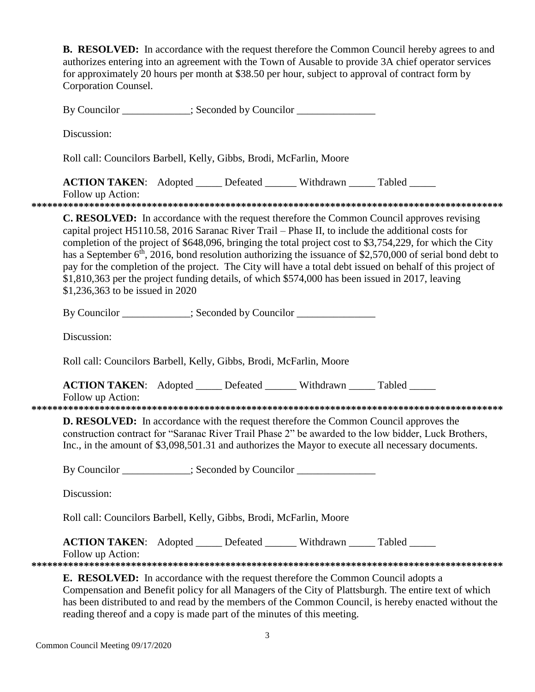**B. RESOLVED:** In accordance with the request therefore the Common Council hereby agrees to and authorizes entering into an agreement with the Town of Ausable to provide 3A chief operator services for approximately 20 hours per month at \$38.50 per hour, subject to approval of contract form by Corporation Counsel. By Councilor \_\_\_\_\_\_\_\_\_\_; Seconded by Councilor \_\_\_\_\_\_\_\_\_\_\_\_\_\_\_\_\_\_\_\_\_\_\_\_\_\_\_\_\_\_\_\_\_ Discussion: Roll call: Councilors Barbell, Kelly, Gibbs, Brodi, McFarlin, Moore **ACTION TAKEN:** Adopted \_\_\_\_\_ Defeated \_\_\_\_\_\_ Withdrawn \_\_\_\_\_ Tabled \_\_\_\_\_ Follow up Action: **\*\*\*\*\*\*\*\*\*\*\*\*\*\*\*\*\*\*\*\*\*\*\*\*\*\*\*\*\*\*\*\*\*\*\*\*\*\*\*\*\*\*\*\*\*\*\*\*\*\*\*\*\*\*\*\*\*\*\*\*\*\*\*\*\*\*\*\*\*\*\*\*\*\*\*\*\*\*\*\*\*\*\*\*\*\*\*\*\*\* C. RESOLVED:** In accordance with the request therefore the Common Council approves revising capital project H5110.58, 2016 Saranac River Trail – Phase II, to include the additional costs for completion of the project of \$648,096, bringing the total project cost to \$3,754,229, for which the City has a September  $6<sup>th</sup>$ , 2016, bond resolution authorizing the issuance of \$2,570,000 of serial bond debt to pay for the completion of the project. The City will have a total debt issued on behalf of this project of \$1,810,363 per the project funding details, of which \$574,000 has been issued in 2017, leaving \$1,236,363 to be issued in 2020 By Councilor \_\_\_\_\_\_\_\_\_\_; Seconded by Councilor \_\_\_\_\_\_\_\_\_\_\_\_\_\_\_\_\_\_\_\_\_\_\_\_\_\_\_\_\_\_\_\_\_ Discussion: Roll call: Councilors Barbell, Kelly, Gibbs, Brodi, McFarlin, Moore **ACTION TAKEN:** Adopted Defeated Withdrawn Tabled Follow up Action: **\*\*\*\*\*\*\*\*\*\*\*\*\*\*\*\*\*\*\*\*\*\*\*\*\*\*\*\*\*\*\*\*\*\*\*\*\*\*\*\*\*\*\*\*\*\*\*\*\*\*\*\*\*\*\*\*\*\*\*\*\*\*\*\*\*\*\*\*\*\*\*\*\*\*\*\*\*\*\*\*\*\*\*\*\*\*\*\*\*\* D. RESOLVED:** In accordance with the request therefore the Common Council approves the construction contract for "Saranac River Trail Phase 2" be awarded to the low bidder, Luck Brothers, Inc., in the amount of \$3,098,501.31 and authorizes the Mayor to execute all necessary documents. By Councilor  $\qquad \qquad$  ; Seconded by Councilor  $\qquad \qquad$ Discussion: Roll call: Councilors Barbell, Kelly, Gibbs, Brodi, McFarlin, Moore

**ACTION TAKEN:** Adopted \_\_\_\_\_ Defeated \_\_\_\_\_\_ Withdrawn Tabled

Follow up Action:

**\*\*\*\*\*\*\*\*\*\*\*\*\*\*\*\*\*\*\*\*\*\*\*\*\*\*\*\*\*\*\*\*\*\*\*\*\*\*\*\*\*\*\*\*\*\*\*\*\*\*\*\*\*\*\*\*\*\*\*\*\*\*\*\*\*\*\*\*\*\*\*\*\*\*\*\*\*\*\*\*\*\*\*\*\*\*\*\*\*\***

**E. RESOLVED:** In accordance with the request therefore the Common Council adopts a Compensation and Benefit policy for all Managers of the City of Plattsburgh. The entire text of which has been distributed to and read by the members of the Common Council, is hereby enacted without the reading thereof and a copy is made part of the minutes of this meeting.